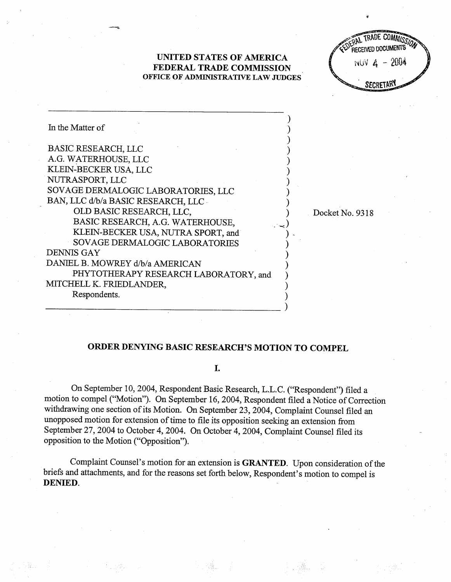UNITED STATES OF AMERICA FEDERAL TRADE COMMISSION OFFICE OF ADMINISTRATIVE LAW JUDGES





Docket No. 9318

## ORDER DENYING BASIC RESEARCH'S MOTION TO COMPEL

I.

On September 10, 2004, Respondent Basic Research, L.L.c. ("Respondent") filed a motion to compel ("Motion"). On September 16, 2004, Respondent filed a Notice of Correction withdrawing one section of its Motion. On September 23, 2004, Complaint Counsel fied an unopposed motion for extension of time to file its opposition seeking an extension from September 27, 2004 to October 4, 2004. On October 4, 2004, Complaint Counsel filed its opposition to the Motion ("Opposition

Complaint Counsel's motion for an extension is GRANTED. Upon consideration of the briefs and attachments, and for the reasons set forth below, Respondent's motion to compel is DENIED.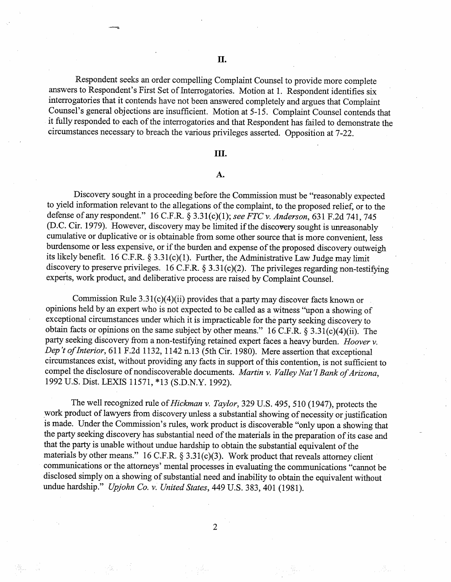Respondent seeks an order compelling Complaint Counsel to provide more complete answers to Respondent's First Set of Interrogatories. Motion at I. Respondent identifies six interrogatories that it contends have not been answered completely and argues that Complaint Counsel's general objections are insufficient. Motion at 5-15. Complaint Counsel contends that it fully responded to each of the interrogatories and that Respondent has failed to demonstrate the circumstances necessary to breach the varous privileges asserted. Opposition at 7-22.

## II.

## $\mathbf{A}$ .

Discovery sought in a proceeding before the Commission must be "reasonably expected to yield information relevant to the allegations of the complaint, to the proposed relief, or to the defense of any respondent." 16 C.F.R. § 3.31(c)(1); see FTC v. Anderson, 631 F.2d 741, 745 (D.C. Cir. 1979). However, discovery may be limited if the discovery sought is unreasonably cumulative or duplicative or is obtainable from some other source that is more convenient, less burdensome or less expensive, or if the burden and expense of the proposed discovery outweigh its likely benefit. 16 C.F.R. § 3.31(c)(1). Further, the Administrative Law Judge may limit discovery to preserve privileges. 16 C.F.R.  $\S 3.31(c)(2)$ . The privileges regarding non-testifying experts, work product, and deliberative process are raised by Complaint Counsel.

Commission Rule  $3.31(c)(4)(ii)$  provides that a party may discover facts known or opinions held by an expert who is not expected to be called as a witness "upon a showing of exceptional circumstances under which it is impracticable for the party seeking discovery to obtain facts or opinions on the same subject by other means."  $16$  C.F.R. § 3.31(c)(4)(ii). The party seeking discovery from a non-testifying retained expert faces a heavy burden. Hoover v. Dep't of Interior, 611 F.2d 1132, 1142 n.13 (5th Cir. 1980). Mere assertion that exceptional circumstances exist, without providing any facts in support ofthis contention, is not suffcient to compel the disclosure of nondiscoverable documents. Martin v. Valley Nat'l Bank of Arizona, 1992 U.S. Dist. LEXIS 11571, \*13 (S.D.N.Y. 1992).

The well recognized rule of Hickman v. Taylor, 329 U.S. 495, 510 (1947), protects the work product of lawyers from discovery unless a substantial showing of necessity or justification is made. Under the Commission's rules, work product is discoverable "only upon a showing that the party seeking discovery has substantial need of the materials in the preparation of its case and that the pary is unable without undue hardship to obtain the substantial equivalent of the materials by other means." 16 C.F.R.  $\S 3.31(c)(3)$ . Work product that reveals attorney client communications or the attorneys' mental processes in evaluating the communications "cannot be disclosed simply on a showing of substantial need and inability to obtain the equivalent without undue hardship." Upjohn Co. v. United States, 449 U.S. 383, 401 (1981).

 $\overline{2}$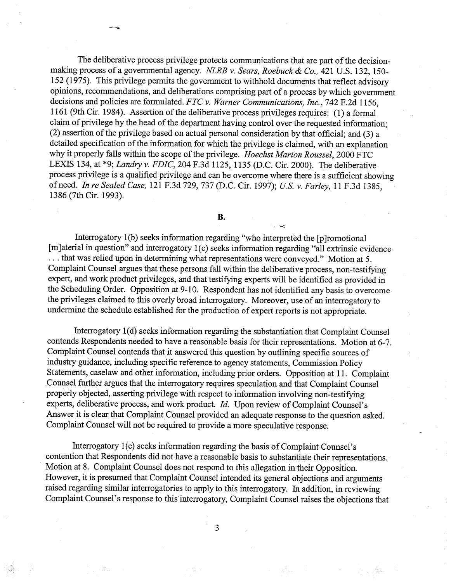The deliberative process privilege protects communications that are part of the decisionmaking process of a governmental agency. NLRB v. Sears, Roebuck & Co., 421 U.S. 132, 150-152 (1975). This privilege permits the government to withhold documents that reflect advisory opinions, recommendations, and deliberations comprising part of a process by which government decisions and policies are formulated. FTC v. Warner Communications, Inc., 742 F.2d 1156. 1161 (9th Cir. 1984). Assertion of the deliberative process privileges requires: (1) a formal claim of privilege by the head of the department having control over the requested information;  $(2)$  assertion of the privilege based on actual personal consideration by that official; and  $(3)$  a detailed specification of the information for which the privilege is claimed, with an explanation why it properly falls within the scope of the privilege. Hoechst Marion Roussel, 2000 FTC LEXIS 134, at \*9; *Landry v. FDIC*, 204 F.3d 1125, 1135 (D.C. Cir. 2000). The deliberative process privilege is a qualified privilege and can be overcome where there is a sufficient showing of need. In re Sealed Case, 121 F.3d 729, 737 (D.C. Cir. 1997); U.S. v. Farley, 11 F.3d 1385. 1386 (7th Cir. 1993).

**B.** 

Interrogatory 1(b) seeks information regarding "who interpreted the [p] romotional [m]aterial in question" and interrogatory 1(c) seeks information regarding "all extrinsic evidence . . . that was relied upon in determining what representations were conveyed. " Motion at 5. Complaint Counsel argues that these persons fall within the deliberative process, non-testifyng expert, and work product privileges, and that testifyng experts will be identified as provided in the Scheduling Order. Opposition at 9-10. Respondent has not identified any basis to overcome the privileges claimed to this overly broad interrogatory. Moreover, use of an interrogatory to undermine the schedule established for the production of expert reports is not appropriate.

Interrogatory 1(d) seeks information regarding the substantiation that Complaint Counsel contends Respondents needed to have a reasonable basis for their representations. Motion at 6- Complaint Counsel contends that it answered this question by outlining specific sources of industry guidance, including specific reference to agency statements, Commission Policy Statements, caselaw and other information, including prior orders. Opposition at 11. Complaint Counsel further argues that the interrogatory requires speculation and that Complaint Counsel properly objected, asserting privilege with respect to information involving non-testifyng experts, deliberative process, and work product.  $Id$ . Upon review of Complaint Counsel's Answer it is clear that Complaint Counsel provided an adequate response to the question asked. Complaint Counsel will not be required to provide a more speculative response.

Interrogatory I(e) seeks information regarding the basis of Complaint Counsel's contention that Respondents did not have a reasonable basis to substantiate their representations. Motion at 8. Complaint Counsel does not respond to this allegation in their Opposition. However, it is presumed that Complaint Counsel intended its general objections and arguments raised regarding similar interrogatories to apply to this interrogatory. In addition, in reviewing Complaint Counsel's response to this interrogatory, Complaint Counsel raises the objections that

3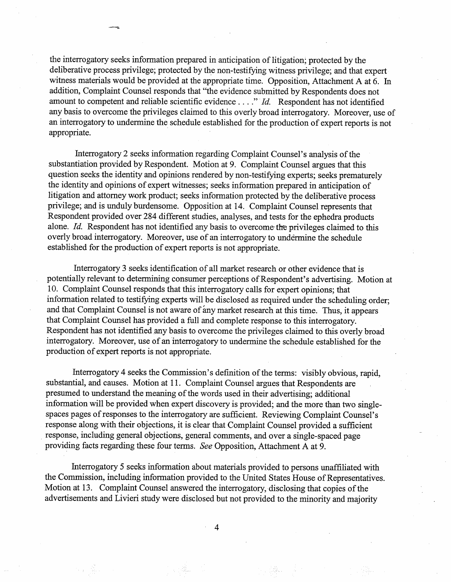the interrogatory seeks information prepared in anticipation of litigation; protected by the deliberative process privilege; protected by the non-testifying witness privilege; and that expert witness materials would be provided at the appropriate time. Opposition, Attachment A at 6. In addition, Complaint Counsel responds that "the evidence submitted by Respondents does not amount to competent and reliable scientific evidence  $\dots$ " *Id.* Respondent has not identified any basis to overcome the privileges claimed to this overly broad interrogatory. Moreover, use of an interrogatory to undermine the schedule established for the production of expert reports is not appropriate.

Interrogatory 2 seeks information regarding Complaint Counsel's analysis of the substantiation provided by Respondent. Motion at 9. Complaint Counsel argues that ths question seeks the identity and opinions rendered by non-testifyng experts; seeks prematurely the identity and opinions of expert witnesses; seeks information prepared in anticipation of litigation and attorney work product; seeks information protected by the deliberative process privilege; and is unduly burdensome. Opposition at 14. Complaint Counsel represents that Respondent provided over 284 different studies, analyses, and tests for the ephedra products alone. Id. Respondent has not identified any basis to overcome the privileges claimed to this overly broad interrogatory. Moreover, use of an interrogatory to undermine the schedule established for the production of expert reports is not appropriate.

Interrogatory 3 seeks identification of all market research or other evidence that is potentially relevant to determining consumer perceptions of Respondent's advertising. Motion at 10. Complaint Counsel responds that this interrogatory calls for expert opinions; that information related to testifyng experts will be disclosed as required under the scheduling order; and that Complaint Counsel is not aware of any market research at this time. Thus, it appears that Complaint Counsel has provided a full and complete response to this interrogatory. Respondent has not identified any basis to overcome the privileges claimed to this overly broad interrogatory. Moreover, use of an interrogatory to undermine the schedule established for the production of expert reports is not appropriate.

Interrogatory 4 seeks the Commission's definition of the terms: visibly obvious, rapid, substantial, and causes. Motion at 11. Complaint Counsel argues that Respondents are presumed to understand the meaning of the words used in their advertising; additional information will be provided when expert discovery is provided; and the more than two singlespaces pages of responses to the interrogatory are sufficient. Reviewing Complaint Counsel' response along with their objections, it is clear that Complaint Counsel provided a suffcient response, including general objections, general comments, and over a single-spaced page providing facts regarding these four terms. See Opposition, Attachment A at 9.

Interrogatory 5 seeks information about materials provided to persons unaffiliated with the Commission, including information provided to the United States House of Representatives. Motion at 13. Complaint Counsel answered the interrogatory, disclosing that copies of the advertisements and Livieri study were disclosed but not provided to the minority and majority

 $\overline{4}$